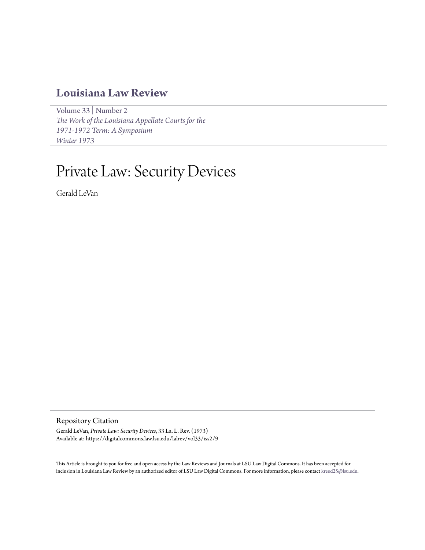## **[Louisiana Law Review](https://digitalcommons.law.lsu.edu/lalrev)**

[Volume 33](https://digitalcommons.law.lsu.edu/lalrev/vol33) | [Number 2](https://digitalcommons.law.lsu.edu/lalrev/vol33/iss2) *[The Work of the Louisiana Appellate Courts for the](https://digitalcommons.law.lsu.edu/lalrev/vol33/iss2) [1971-1972 Term: A Symposium](https://digitalcommons.law.lsu.edu/lalrev/vol33/iss2) [Winter 1973](https://digitalcommons.law.lsu.edu/lalrev/vol33/iss2)*

# Private Law: Security Devices

Gerald LeVan

Repository Citation

Gerald LeVan, *Private Law: Security Devices*, 33 La. L. Rev. (1973) Available at: https://digitalcommons.law.lsu.edu/lalrev/vol33/iss2/9

This Article is brought to you for free and open access by the Law Reviews and Journals at LSU Law Digital Commons. It has been accepted for inclusion in Louisiana Law Review by an authorized editor of LSU Law Digital Commons. For more information, please contact [kreed25@lsu.edu](mailto:kreed25@lsu.edu).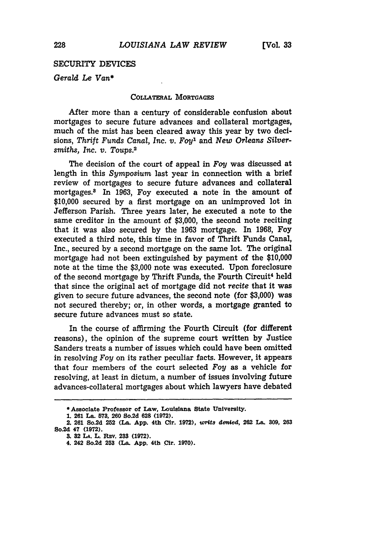### SECURITY DEVICES

*Gerald Le Van\**

#### COLLATERAL **MORTGAGES**

After more than a century of considerable confusion about mortgages to secure future advances and collateral mortgages, much of the mist has been cleared away this year **by** two decisions, *Thrift Funds Canal, Inc. v. Foy1* and *New Orleans Silversmiths, Inc. v. Toups.2*

The decision of the court of appeal in *Foy* was discussed at length in this *Symposium* last year in connection with a brief review of mortgages to secure future advances and collateral mortgages.<sup>3</sup> In 1963, Foy executed a note in the amount of \$10,000 secured by a first mortgage on an unimproved lot in Jefferson Parish. Three years later, he executed a note to the same creditor in the amount of \$3,000, the second note reciting that it was also secured by the 1963 mortgage. In 1968, Foy executed a third note, this time in favor of Thrift Funds Canal, Inc., secured by a second mortgage on the same lot. The original mortgage had not been extinguished by payment of the \$10,000 note at the time the \$3,000 note was executed. Upon foreclosure of the second mortgage by Thrift Funds, the Fourth Circuit<sup>4</sup> held that since the original act of mortgage did not *recite* that it was given to secure future advances, the second note (for \$3,000) was not secured thereby; or, in other words, a mortgage granted to secure future advances must so state.

In the course of affirming the Fourth Circuit (for different reasons), the opinion of the supreme court written by Justice Sanders treats a number of issues which could have been omitted in resolving *Foy* on its rather peculiar facts. However, it appears that four members of the court selected Foy as a vehicle for resolving, at least in dictum, a number of issues involving future advances-collateral mortgages about which lawyers have debated

**<sup>\*</sup> Associate Professor of Law, Louisiana State University.**

**<sup>1. 261</sup> La. 573, 260 So.2d 628 (1972).**

**<sup>2. 261</sup> So.2d 252 (La. App. 4th Cir. 1972),** *vr4ts deMed,* **262 La. 309, 263 So.2d 47 (1972).**

**<sup>3. 32</sup> LA. L. Psv. 233 (1972).**

<sup>4. 242</sup> So.2d 253 (La. App. 4th Cir. 1970).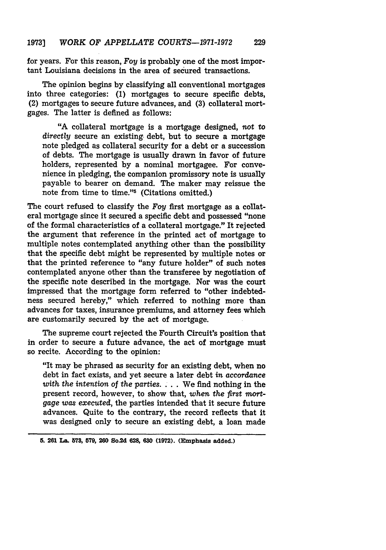for years. For this reason, *Foy* is probably one of the most important Louisiana decisions in the area of secured transactions.

The opinion begins **by** classifying all conventional mortgages into three categories: **(1)** mortgages to secure specific debts, (2) mortgages to secure future advances, and **(3)** collateral mortgages. The latter is defined as follows:

"A collateral mortgage is a mortgage designed, not to directly secure an existing, debt, but to secure a mortgage note pledged as collateral security for a debt or a succession of debts. The mortgage is usually drawn in favor of future holders, represented **by** a nominal mortgagee. For convenience in pledging, the companion promissory note is usually payable to bearer on demand. The maker may reissue the note from time to time."5 (Citations omitted.)

The court refused to classify the *Foy* first mortgage as a collateral mortgage since it secured a specific debt and possessed "none of the formal characteristics of a collateral mortgage." It rejected the argument that reference in the printed act of mortgage to multiple notes contemplated anything other than the possibility that the specific debt might be represented **by** multiple notes or that the printed reference to "any future holder" of such notes contemplated anyone other than the transferee **by** negotiation of the specific note described in the mortgage. Nor was the court impressed that the mortgage form referred to "other indebtedness secured hereby," which referred to nothing more than advances for taxes, insurance premiums, and attorney fees which are customarily secured **by** the act of mortgage.

The supreme court rejected the Fourth Circuit's position that in order to secure a future advance, the act of mortgage must so recite. According to the opinion:

"It may be phrased as security for an existing debt, when no debt in fact exists, and yet secure a later debt *in accordance with the intention of the parties....* We find nothing in the present record, however, to show that, *when the first mortgage was executed,* the parties intended that it secure future advances. Quite to the contrary, the record reflects that it was designed only to secure an existing debt, a loan made

**5. 261 La. 573, 579, 260 So.2d 628, 630 (1972). (Emphasis added.)**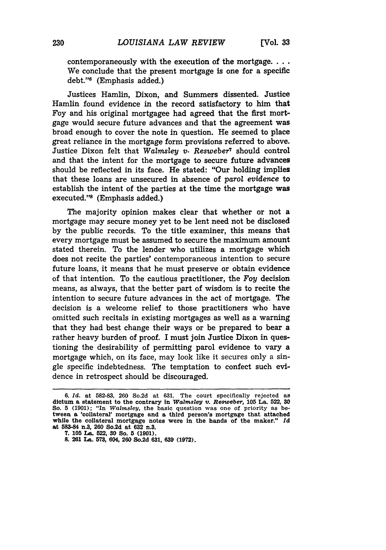contemporaneously with the execution of the mortgage.... We conclude that the present mortgage is one for a specific  $debt."$ <sup>6</sup> (Emphasis added.)

Justices Hamlin, Dixon, and Summers dissented. Justice Hamlin found evidence in the record satisfactory to him that Foy and his original mortgagee had agreed that the first mortgage would secure future advances and that the agreement was broad enough to cover the note in question. He seemed to place great reliance in the mortgage form provisions referred to above. Justice Dixon felt that *Walmsley* **v.** *Resweber7* should control and that the intent for the mortgage to secure future advances should be reflected in its face. He stated: "Our holding implies that these loans are unsecured in absence of parol *evidence* to establish the intent of the parties at the time the mortgage was executed."8 (Emphasis added.)

The majority opinion makes clear that whether or not a mortgage may secure money yet to be lent need not be disclosed **by** the public records. To the title examiner, this means that every mortgage must be assumed to secure the maximum amount stated therein. To the lender who utilizes a mortgage which does not recite the parties' contemporaneous intention to secure future loans, it means that he must preserve or obtain evidence of that intention. To the cautious practitioner, the Foy decision means, as always, that the better part of wisdom is to recite the intention to secure future advances in the act of mortgage. The decision is a welcome relief to those practitioners who have omitted such recitals in existing mortgages as well as a warning that they had best change their ways or be prepared to bear a rather heavy burden of proof. I must join Justice Dixon in questioning the desirability of permitting parol evidence to vary a mortgage which, on its face, may look like it secures only a single specific indebtedness. The temptation to confect such evidence in retrospect should be discouraged.

**<sup>6.</sup> Id. at 582-83, 260 So.2d at 631. The court** specifically **rejected as dictum a statement to the contrary in** *WalmsleJ* v. *Resweber,* **105 La. 522, 30 So. 5 (1901); "In** *Walmsley,* **the basic** question **was one of priority as between a** 'collateral' mortgage **and a third person's** mortgage that attached **while the** collateral mortgage **notes were in the hands** of **the** maker." **Id at 583-84 n.3, 260 So.2d** at **632 n.3.**

**<sup>7. 105</sup> La. 522, 30 So. 5 (1901).**

**<sup>8. 261</sup> La. 573, 604, 260 So.2d 631, 639 (1972).**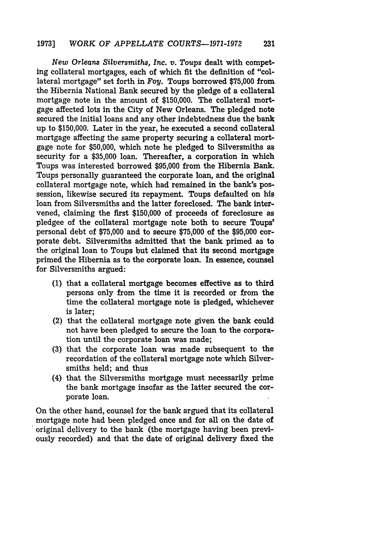*New Orleans Silversmiths, Inc. v. Toups* dealt with competing collateral mortgages, each of which fit the definition of "collateral mortgage" set forth in Foy. Toups borrowed \$75,000 from the Hibernia National Bank secured by the pledge of a collateral mortgage note in the amount of \$150,000. The collateral mortgage affected lots in the City of New Orleans. The pledged note secured the initial loans and any other indebtedness due the bank up to \$150,000. Later in the year, he executed a second collateral mortgage affecting the same property securing a collateral mortgage note for \$50,000, which note he pledged to Silversmiths as security for a \$35,000 loan. Thereafter, a corporation in which Toups was interested borrowed \$95,000 from the Hibernia Bank. Toups personally guaranteed the corporate loan, and the original collateral mortgage note, which had remained in the bank's possession, likewise secured its repayment. Toups defaulted on his loan from Silversmiths and the latter foreclosed. The bank intervened, claiming the first **\$150,000** of proceeds of foreclosure as pledgee of the collateral mortgage note both to secure Toups' personal debt of **\$75,000** and to secure **\$75,000** of the **\$95,000** corporate debt. Silversmiths admitted that the bank primed as to the original loan to Toups but claimed that its second mortgage primed the Hibernia as to the corporate loan. In essence, counsel for Silversmiths argued:

- **(1)** that a collateral mortgage becomes effective as to third persons only from the time it is recorded or from the time the collateral mortgage note is pledged, whichever is later;
- (2) that the collateral mortgage note given the bank could not have been pledged to secure the loan to the corporation until the corporate loan was made;
- **(3)** that the corporate loan was made subsequent to the recordation of the collateral mortgage note which Silversmiths held; and thus
- (4) that the Silversmiths mortgage must necessarily prime the bank mortgage insofar as the latter secured the corporate loan.

On the other hand, counsel for the bank argued that its collateral mortgage note had been pledged once and for all on the date of original delivery to the bank (the mortgage having been previously recorded) and that the date of original delivery fixed the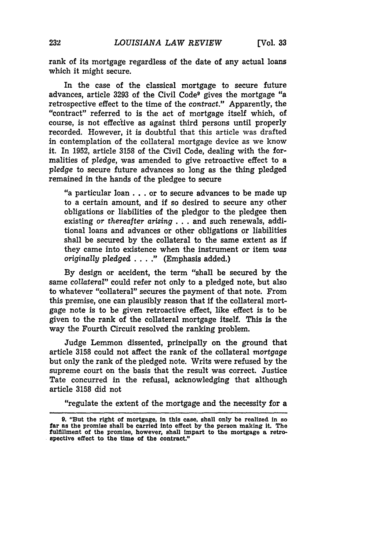rank of its mortgage regardless of the date of any actual loans which it might secure.

In the case of the classical mortgage to secure future advances, article **3293** of the Civil Code9 gives the mortgage "a retrospective effect to the time of the *contract."* Apparently, the "contract" referred to is the act of mortgage itself which, of course, is not effective as against third persons until properly recorded. However, it is doubtful that this article was drafted in contemplation of the collateral mortgage device as we know it. In 1952, article 3158 of the Civil Code, dealing with the formalities of *pledge,* was amended to give retroactive effect to a *pledge* to secure future advances so long as the thing pledged remained in the hands of the pledgee to secure

''a particular loan **...** or to secure advances to be made up to a certain amount, and if so desired to secure any other obligations or liabilities of the pledgor to the pledgee then existing or *thereafter arising* **...** and such renewals, additional loans and advances or other obligations or liabilities shall be secured by the collateral to the same extent as if they came into existence when the instrument or item *was originally pledged* ... **."** (Emphasis added.)

By design or accident, the term "shall be secured by the same *collateral"* could refer not only to a pledged note, but also to whatever "collateral" secures the payment of that note. From this premise, one can plausibly reason that if the collateral mortgage note is to be given retroactive effect, like effect is to be given to the rank of the collateral mortgage itself. This is the way the Fourth Circuit resolved the ranking problem.

Judge Lemmon dissented, principally on the ground that article 3158 could not affect the rank of the collateral *mortgage* but only the rank of the pledged note. Writs were refused by the supreme court on the basis that the result was correct. Justice Tate concurred in the refusal, acknowledging that although article 3158 did not

"regulate the extent of the mortgage and the necessity for a

**<sup>9.</sup>** "But the right of mortgage, in this case, shall only be realized in so far as the promise shall be carried into effect **by** the person making it. The fulfillment of the promise, however, shall impart to the mortgage a retrospective effect to the time of the contract."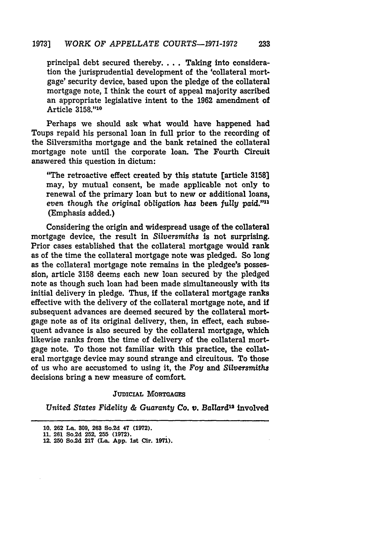principal debt secured thereby.... Taking into consideration the jurisprudential development of the 'collateral mortgage' security device, based upon the pledge of the collateral mortgage note, I think the court of appeal majority ascribed an appropriate legislative intent to the 1962 amendment of Article 3158."10

Perhaps we should ask what would have happened had Toups repaid his personal loan in full prior to the recording of the Silversmiths mortgage and the bank retained the collateral mortgage note until the corporate loan. The Fourth Circuit answered this question in dictum:

"The retroactive effect created **by** this statute [article **3158]** may, **by** mutual consent, be made applicable not only to renewal of the primary loan but to new or additional loans, *even though the original obligation has been fully paid.""1* (Emphasis added.)

Considering the origin and widespread usage of the collateral mortgage device, the result in *Silversmiths* is not surprising. Prior cases established that the collateral mortgage would rank as of the time the collateral mortgage note was pledged. So long as the collateral mortgage note remains in the pledgee's possession, article 3158 deems each new loan secured by the pledged note as though such loan had been made simultaneously with its initial delivery in pledge. Thus, if the collateral mortgage ranks effective with the delivery of the collateral mortgage note, and if subsequent advances are deemed secured by the collateral mortgage note as of its original delivery, then, in effect, each subsequent advance is also secured by the collateral mortgage, which likewise ranks from the time of delivery of the collateral mortgage note. To those not familiar with this practice, the collateral mortgage device may sound strange and circuitous. To those of us who are accustomed to using it, the Foy and *Silversmiths* decisions bring a new measure of comfort.

#### **JUDICIAL MORTGAGES**

*United States Fidelity & Guaranty* Co. *v. Ballard12* involved

**<sup>10. 262</sup> La. 809, 263** So.2d **47 (1972).**

**<sup>11. 261</sup>** So.2d 252, **255 (1972).**

**<sup>12. 250</sup> So.2d 217 (La. App. 1st Cir. 1971).**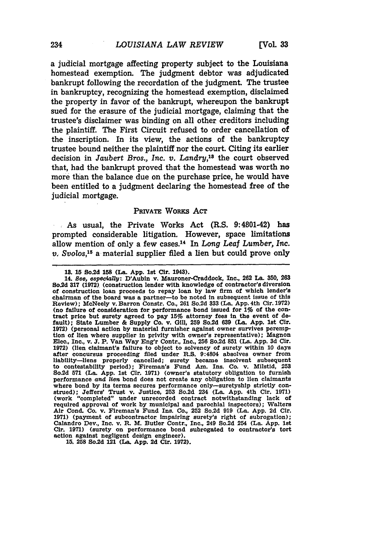a judicial mortgage affecting property subject to the Louisiana homestead exemption. The judgment debtor was adjudicated bankrupt following the recordation of the judgment. The trustee in bankruptcy, recognizing the homestead exemption, disclaimed the property in favor of the bankrupt, whereupon the bankrupt sued for the erasure of the judicial mortgage, claiming that the trustee's disclaimer was binding on all other creditors including the plaintiff. The First Circuit refused to order cancellation of the inscription. In its view, the actions of the bankruptcy trustee bound neither the plaintiff nor the court. Citing its earlier decision in *Jaubert Bros.*, Inc. v. Landry,<sup>18</sup> the court observed that, had the bankrupt proved that the homestead was worth no more than the balance due on the purchase price, he would have been entitled to a judgment declaring the homestead free of the judicial mortgage.

#### PRIVATE WORKS ACT

As usual, the Private Works Act (R.S. 9:4801-42) has prompted considerable litigation. However, space limitations allow mention of only a few cases.14 In *Long Leaf Lumber, Inc. v. Svolos,15* a material supplier filed a lien but could prove only

**15. 258** So.2d 121 (La. **App. 2d Cir. 1972).**

**<sup>13. 15</sup>** So.2d **158** (La. **App.** 1st Or. 1943).

<sup>14.</sup> *See, especially:* D'Aubln v. Mauroner-Craddock, Inc., **262** La. **350, 263** So.2d **317 (1972)** (construction lender with knowledge of contractor's diversion of construction loan proceeds to repay loan **by** law firm of which lender's chairman of the board was a partner-to be noted In subsequent issue of this Review); McNeely v. Barron Constr. Co., **261** So.2d **333** (La. **App.** 4th Cir. **1972)** (no failure of consideration for performance bond Issued for *19* of the con- tract price but surety agreed to pay **15%** attorney fees In the event of default); State Lumber **&** Supply Co. v. **Gill, 259** So.2d **639** (La. **App.** 1st **Cir. 1972)** (personal action **by** material furnisher against owner survives peremption of lien where supplier in privity with owner's representative); Magnon Elec., Inc., v. **J.** P. Van Way Eng'r Contr., Inc., **256** So.2d **851** (La. **App. 3d Cir. 1972)** (lien claimant's failure to object to solvency of surety within **10** days **after** concursus proceeding filed under R.S. 9:4804 absolves owner from liability-liens properly cancelled; surety became insolvent subsequent to contestability period); Fireman's Fund Am. Ins. Co. v. Milstid, **253** So.2d **571** (La. **App.** 1st CIr. **1971)** (owner's statutory obligation to furnish performance and *lien* bond does not create any obligation to lien claimants where bond **by** its terms secures performance only-suretyship strictly construed); Jeffers' Trust v. Justice, 253 So.2d 234 (La. App. 4th Cir. 1971) (work "completed" under unrecorded contract notwithstanding lack of required approval of work by municipal and parochial inspectors); Walters Air Cond. Co. v. Fireman's Fund Ins. Co., 252 So.2d **919** (La. **App. 2d** Cir. **1971)** (payment of subcontractor impairing surety's right of subrogation); Calandro Dev., Inc. v. R. M. Butler Contr., Inc., 249 So.2d 254 (La. **App.** 1st Cir. **1971)** (surety on performance bond subrogated to contractor's tort action against negligent design engineer).